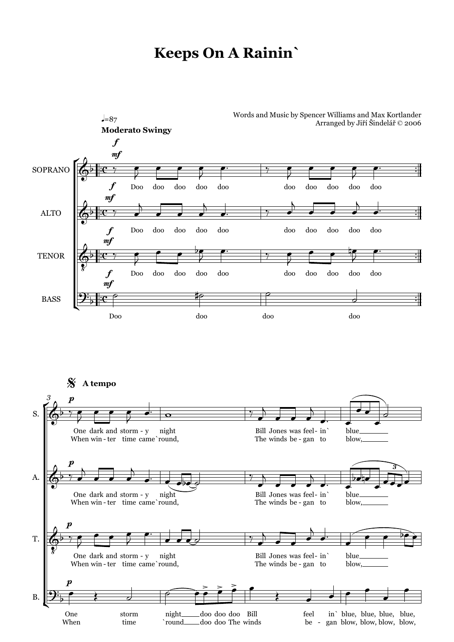## **Keeps On A Rainin`**



\$ **A tempo**

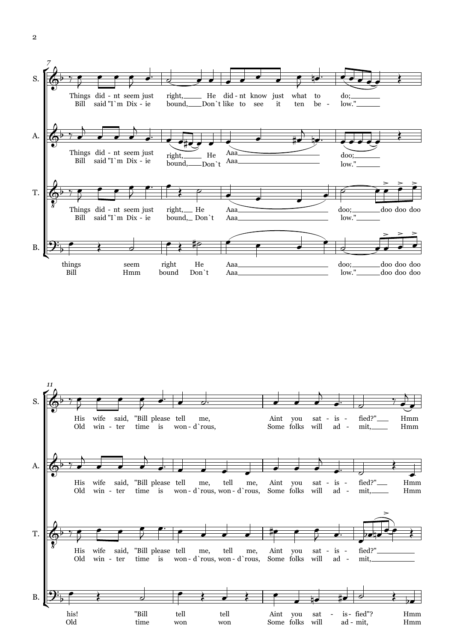